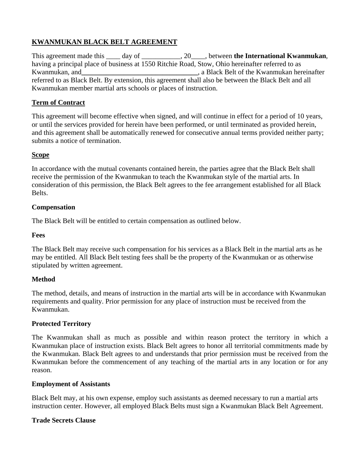# **KWANMUKAN BLACK BELT AGREEMENT**

This agreement made this \_\_\_\_ day of \_\_\_\_\_\_\_\_\_\_\_, 20\_\_\_\_, between **the International Kwanmukan**, having a principal place of business at 1550 Ritchie Road, Stow, Ohio hereinafter referred to as Kwanmukan, and**\_\_\_\_\_\_\_\_\_\_\_\_\_\_\_\_\_\_\_\_\_\_\_\_\_\_\_\_\_\_\_\_\_**, a Black Belt of the Kwanmukan hereinafter referred to as Black Belt. By extension, this agreement shall also be between the Black Belt and all Kwanmukan member martial arts schools or places of instruction.

## **Term of Contract**

This agreement will become effective when signed, and will continue in effect for a period of 10 years, or until the services provided for herein have been performed, or until terminated as provided herein, and this agreement shall be automatically renewed for consecutive annual terms provided neither party; submits a notice of termination.

#### **Scope**

In accordance with the mutual covenants contained herein, the parties agree that the Black Belt shall receive the permission of the Kwanmukan to teach the Kwanmukan style of the martial arts. In consideration of this permission, the Black Belt agrees to the fee arrangement established for all Black Belts.

## **Compensation**

The Black Belt will be entitled to certain compensation as outlined below.

### **Fees**

The Black Belt may receive such compensation for his services as a Black Belt in the martial arts as he may be entitled. All Black Belt testing fees shall be the property of the Kwanmukan or as otherwise stipulated by written agreement.

#### **Method**

The method, details, and means of instruction in the martial arts will be in accordance with Kwanmukan requirements and quality. Prior permission for any place of instruction must be received from the Kwanmukan.

#### **Protected Territory**

The Kwanmukan shall as much as possible and within reason protect the territory in which a Kwanmukan place of instruction exists. Black Belt agrees to honor all territorial commitments made by the Kwanmukan. Black Belt agrees to and understands that prior permission must be received from the Kwanmukan before the commencement of any teaching of the martial arts in any location or for any reason.

#### **Employment of Assistants**

Black Belt may, at his own expense, employ such assistants as deemed necessary to run a martial arts instruction center. However, all employed Black Belts must sign a Kwanmukan Black Belt Agreement.

#### **Trade Secrets Clause**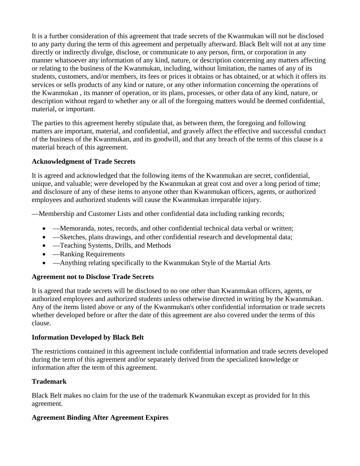It is a further consideration of this agreement that trade secrets of the Kwanmukan will not be disclosed to any party during the term of this agreement and perpetually afterward. Black Belt will not at any time directly or indirectly divulge, disclose, or communicate to any person, firm, or corporation in any manner whatsoever any information of any kind, nature, or description concerning any matters affecting or relating to the business of the Kwanmukan, including, without limitation, the names of any of its students, customers, and/or members, its fees or prices it obtains or has obtained, or at which it offers its services or sells products of any kind or nature, or any other information concerning the operations of the Kwanmukan , its manner of operation, or its plans, processes, or other data of any kind, nature, or description without regard to whether any or all of the foregoing matters would be deemed confidential, material, or important.

The parties to this agreement hereby stipulate that, as between them, the foregoing and following matters are important, material, and confidential, and gravely affect the effective and successful conduct of the business of the Kwanmukan, and its goodwill, and that any breach of the terms of this clause is a material breach of this agreement.

#### **Acknowledgment of Trade Secrets**

It is agreed and acknowledged that the following items of the Kwanmukan are secret, confidential, unique, and valuable; were developed by the Kwanmukan at great cost and over a long period of time; and disclosure of any of these items to anyone other than Kwanmukan officers, agents, or authorized employees and authorized students will cause the Kwanmukan irreparable injury.

—Membership and Customer Lists and other confidential data including ranking records;

- —Memoranda, notes, records, and other confidential technical data verbal or written;
- —Sketches, plans drawings, and other confidential research and developmental data;
- — Teaching Systems, Drills, and Methods
- — Ranking Requirements
- —Anything relating specifically to the Kwanmukan Style of the Martial Arts

#### **Agreement not to Disclose Trade Secrets**

It is agreed that trade secrets will be disclosed to no one other than Kwanmukan officers, agents, or authorized employees and authorized students unless otherwise directed in writing by the Kwanmukan. Any of the items listed above or any of the Kwanmukan's other confidential information or trade secrets whether developed before or after the date of this agreement are also covered under the terms of this clause.

#### **Information Developed by Black Belt**

The restrictions contained in this agreement include confidential information and trade secrets developed during the term of this agreement and/or separately derived from the specialized knowledge or information after the term of this agreement.

#### **Trademark**

Black Belt makes no claim for the use of the trademark Kwanmukan except as provided for In this agreement.

## **Agreement Binding After Agreement Expires**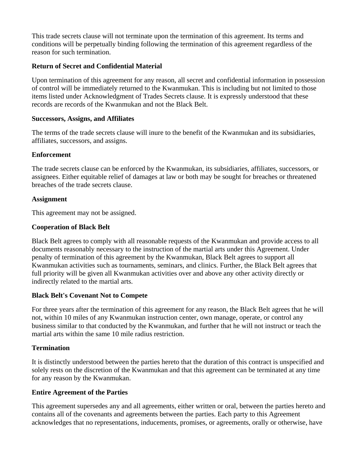This trade secrets clause will not terminate upon the termination of this agreement. Its terms and conditions will be perpetually binding following the termination of this agreement regardless of the reason for such termination.

#### **Return of Secret and Confidential Material**

Upon termination of this agreement for any reason, all secret and confidential information in possession of control will be immediately returned to the Kwanmukan. This is including but not limited to those items listed under Acknowledgment of Trades Secrets clause. It is expressly understood that these records are records of the Kwanmukan and not the Black Belt.

#### **Successors, Assigns, and Affiliates**

The terms of the trade secrets clause will inure to the benefit of the Kwanmukan and its subsidiaries, affiliates, successors, and assigns.

#### **Enforcement**

The trade secrets clause can be enforced by the Kwanmukan, its subsidiaries, affiliates, successors, or assignees. Either equitable relief of damages at law or both may be sought for breaches or threatened breaches of the trade secrets clause.

#### **Assignment**

This agreement may not be assigned.

#### **Cooperation of Black Belt**

Black Belt agrees to comply with all reasonable requests of the Kwanmukan and provide access to all documents reasonably necessary to the instruction of the martial arts under this Agreement. Under penalty of termination of this agreement by the Kwanmukan, Black Belt agrees to support all Kwanmukan activities such as tournaments, seminars, and clinics. Further, the Black Belt agrees that full priority will be given all Kwanmukan activities over and above any other activity directly or indirectly related to the martial arts.

#### **Black Belt's Covenant Not to Compete**

For three years after the termination of this agreement for any reason, the Black Belt agrees that he will not, within 10 miles of any Kwanmukan instruction center, own manage, operate, or control any business similar to that conducted by the Kwanmukan, and further that he will not instruct or teach the martial arts within the same 10 mile radius restriction.

#### **Termination**

It is distinctly understood between the parties hereto that the duration of this contract is unspecified and solely rests on the discretion of the Kwanmukan and that this agreement can be terminated at any time for any reason by the Kwanmukan.

#### **Entire Agreement of the Parties**

This agreement supersedes any and all agreements, either written or oral, between the parties hereto and contains all of the covenants and agreements between the parties. Each party to this Agreement acknowledges that no representations, inducements, promises, or agreements, orally or otherwise, have